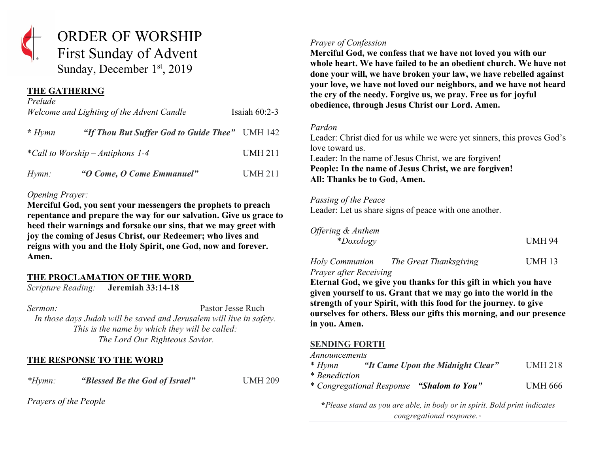

Sunday, December 1st, 2019

# **THE GATHERING**

| Prelude                          | Welcome and Lighting of the Advent Candle      | Isaiah $60:2-3$ |
|----------------------------------|------------------------------------------------|-----------------|
| $* Hymn$                         | "If Thou But Suffer God to Guide Thee" UMH 142 |                 |
| *Call to Worship – Antiphons 1-4 |                                                | <b>UMH 211</b>  |
| $Hymn$ :                         | "O Come, O Come Emmanuel"                      | <b>UMH 211</b>  |

### *Opening Prayer:*

**Merciful God, you sent your messengers the prophets to preach repentance and prepare the way for our salvation. Give us grace to heed their warnings and forsake our sins, that we may greet with joy the coming of Jesus Christ, our Redeemer; who lives and reigns with you and the Holy Spirit, one God, now and forever. Amen.**

# **THE PROCLAMATION OF THE WORD**

*Scripture Reading:* **Jeremiah 33:14-18**

*Sermon:* Pastor Jesse Ruch *In those days Judah will be saved and Jerusalem will live in safety. This is the name by which they will be called: The Lord Our Righteous Savior.*

# **THE RESPONSE TO THE WORD**

*\*Hymn: "Blessed Be the God of Israel"* UMH 209

*Prayers of the People*

### *Prayer of Confession*

**Merciful God, we confess that we have not loved you with our whole heart. We have failed to be an obedient church. We have not done your will, we have broken your law, we have rebelled against your love, we have not loved our neighbors, and we have not heard the cry of the needy. Forgive us, we pray. Free us for joyful obedience, through Jesus Christ our Lord. Amen.**

### *Pardon*

Leader: Christ died for us while we were yet sinners, this proves God's love toward us.

Leader: In the name of Jesus Christ, we are forgiven! **People: In the name of Jesus Christ, we are forgiven! All: Thanks be to God, Amen.**

### *Passing of the Peace*

Leader: Let us share signs of peace with one another.

*Offering & Anthem* \**Doxology* UMH 94

*Holy Communion The Great Thanksgiving* UMH 13 *Prayer after Receiving*

**Eternal God, we give you thanks for this gift in which you have given yourself to us. Grant that we may go into the world in the strength of your Spirit, with this food for the journey. to give ourselves for others. Bless our gifts this morning, and our presence in you. Amen.**

# **SENDING FORTH**

*Announcements*

| * Hymn | "It Came Upon the Midnight Clear" | <b>UMH 218</b> |
|--------|-----------------------------------|----------------|
|--------|-----------------------------------|----------------|

\* *Benediction*

\* *Congregational Response "Shalom to You"* UMH 666

**\****Please stand as you are able, in body or in spirit. Bold print indicates congregational response.*۰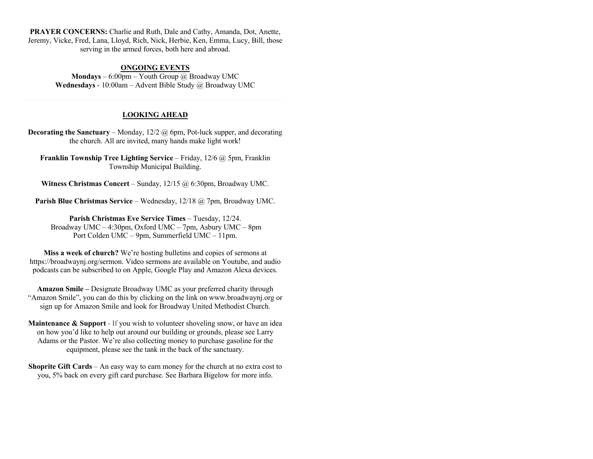**PRAYER CONCERNS:** Charlie and Ruth, Dale and Cathy, Amanda, Dot, Anette, Jeremy, Vicke, Fred, Lana, Lloyd, Rich, Nick, Herbie, Ken, Emma, Lucy, Bill, those serving in the armed forces, both here and abroad.

#### **ONGOING EVENTS**

**Mondays** – 6:00pm – Youth Group @ Broadway UMC **Wednesdays** - 10:00am – Advent Bible Study @ Broadway UMC

#### **LOOKING AHEAD**

**Decorating the Sanctuary** – Monday, 12/2 @ 6pm, Pot-luck supper, and decorating the church. All are invited, many hands make light work!

**Franklin Township Tree Lighting Service** – Friday, 12/6 @ 5pm, Franklin Township Municipal Building.

**Witness Christmas Concert** – Sunday, 12/15 @ 6:30pm, Broadway UMC.

**Parish Blue Christmas Service** – Wednesday, 12/18 @ 7pm, Broadway UMC.

**Parish Christmas Eve Service Times** – Tuesday, 12/24. Broadway UMC – 4:30pm, Oxford UMC – 7pm, Asbury UMC – 8pm Port Colden UMC – 9pm, Summerfield UMC – 11pm.

**Miss a week of church?** We're hosting bulletins and copies of sermons at https://broadwaynj.org/sermon. Video sermons are available on Youtube, and audio podcasts can be subscribed to on Apple, Google Play and Amazon Alexa devices.

**Amazon Smile –** Designate Broadway UMC as your preferred charity through "Amazon Smile", you can do this by clicking on the link on www.broadwaynj.org or sign up for Amazon Smile and look for Broadway United Methodist Church.

**Maintenance & Support** - If you wish to volunteer shoveling snow, or have an idea on how you'd like to help out around our building or grounds, please see Larry Adams or the Pastor. We're also collecting money to purchase gasoline for the equipment, please see the tank in the back of the sanctuary.

**Shoprite Gift Cards** – An easy way to earn money for the church at no extra cost to you, 5% back on every gift card purchase. See Barbara Bigelow for more info.